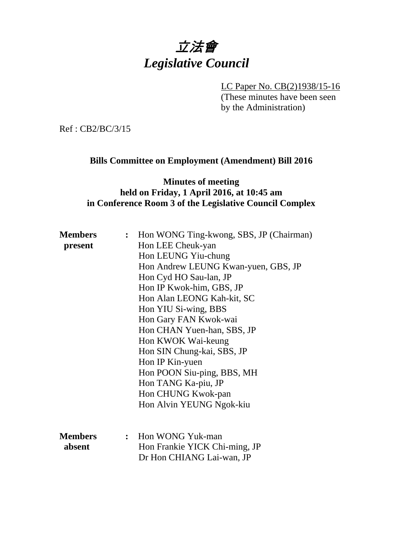# 立法會 *Legislative Council*

LC Paper No. CB(2)1938/15-16 (These minutes have been seen by the Administration)

Ref : CB2/BC/3/15

# **Bills Committee on Employment (Amendment) Bill 2016**

#### **Minutes of meeting held on Friday, 1 April 2016, at 10:45 am in Conference Room 3 of the Legislative Council Complex**

| <b>Members</b> | : Hon WONG Ting-kwong, SBS, JP (Chairman) |
|----------------|-------------------------------------------|
| present        | Hon LEE Cheuk-yan                         |
|                | Hon LEUNG Yiu-chung                       |
|                | Hon Andrew LEUNG Kwan-yuen, GBS, JP       |
|                | Hon Cyd HO Sau-lan, JP                    |
|                | Hon IP Kwok-him, GBS, JP                  |
|                | Hon Alan LEONG Kah-kit, SC                |
|                | Hon YIU Si-wing, BBS                      |
|                | Hon Gary FAN Kwok-wai                     |
|                | Hon CHAN Yuen-han, SBS, JP                |
|                | Hon KWOK Wai-keung                        |
|                | Hon SIN Chung-kai, SBS, JP                |
|                | Hon IP Kin-yuen                           |
|                | Hon POON Siu-ping, BBS, MH                |
|                | Hon TANG Ka-piu, JP                       |
|                | Hon CHUNG Kwok-pan                        |
|                | Hon Alvin YEUNG Ngok-kiu                  |
|                |                                           |
| <b>Members</b> | : Hon WONG Yuk-man                        |
|                |                                           |
| absent         | Hon Frankie YICK Chi-ming, JP             |
|                | Dr Hon CHIANG Lai-wan, JP                 |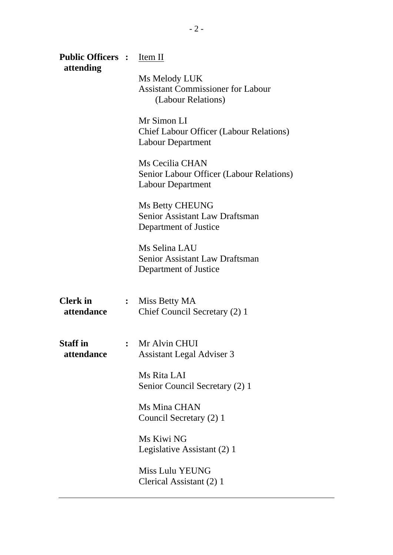| <b>Public Officers :</b><br>attending |                | Item II                                                                                   |
|---------------------------------------|----------------|-------------------------------------------------------------------------------------------|
|                                       |                | Ms Melody LUK<br><b>Assistant Commissioner for Labour</b><br>(Labour Relations)           |
|                                       |                | Mr Simon LI<br><b>Chief Labour Officer (Labour Relations)</b><br><b>Labour Department</b> |
|                                       |                | Ms Cecilia CHAN<br>Senior Labour Officer (Labour Relations)<br>Labour Department          |
|                                       |                | <b>Ms Betty CHEUNG</b><br>Senior Assistant Law Draftsman<br>Department of Justice         |
|                                       |                | Ms Selina LAU<br>Senior Assistant Law Draftsman<br>Department of Justice                  |
| <b>Clerk</b> in<br>attendance         | $\ddot{\cdot}$ | Miss Betty MA<br>Chief Council Secretary (2) 1                                            |
| <b>Staff</b> in<br>attendance         | $\ddot{\cdot}$ | Mr Alvin CHUI<br><b>Assistant Legal Adviser 3</b>                                         |
|                                       |                | Ms Rita LAI<br>Senior Council Secretary (2) 1                                             |
|                                       |                | Ms Mina CHAN<br>Council Secretary (2) 1                                                   |
|                                       |                | Ms Kiwi NG<br>Legislative Assistant (2) 1                                                 |
|                                       |                | <b>Miss Lulu YEUNG</b><br>Clerical Assistant (2) 1                                        |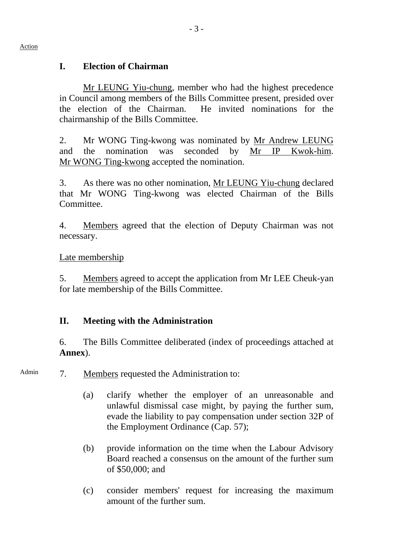## **I. Election of Chairman**

Mr LEUNG Yiu-chung, member who had the highest precedence in Council among members of the Bills Committee present, presided over the election of the Chairman. He invited nominations for the chairmanship of the Bills Committee.

2. Mr WONG Ting-kwong was nominated by Mr Andrew LEUNG and the nomination was seconded by Mr IP Kwok-him. Mr WONG Ting-kwong accepted the nomination.

3. As there was no other nomination, Mr LEUNG Yiu-chung declared that Mr WONG Ting-kwong was elected Chairman of the Bills Committee.

4. Members agreed that the election of Deputy Chairman was not necessary.

#### Late membership

5. Members agreed to accept the application from Mr LEE Cheuk-yan for late membership of the Bills Committee.

# **II. Meeting with the Administration**

6. The Bills Committee deliberated (index of proceedings attached at **Annex**).

- Admin 7. Members requested the Administration to:
	- (a) clarify whether the employer of an unreasonable and unlawful dismissal case might, by paying the further sum, evade the liability to pay compensation under section 32P of the Employment Ordinance (Cap. 57);
	- (b) provide information on the time when the Labour Advisory Board reached a consensus on the amount of the further sum of \$50,000; and
	- (c) consider members' request for increasing the maximum amount of the further sum.

#### Action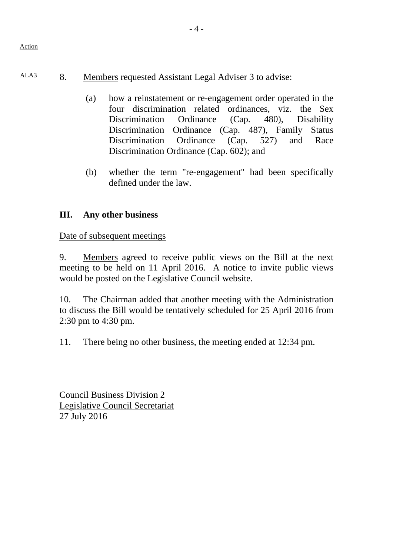# ALA3 8. Members requested Assistant Legal Adviser 3 to advise:

- (a) how a reinstatement or re-engagement order operated in the four discrimination related ordinances, viz. the Sex Discrimination Ordinance (Cap. 480), Disability Discrimination Ordinance (Cap. 487), Family Status Discrimination Ordinance (Cap. 527) and Race Discrimination Ordinance (Cap. 602); and
- (b) whether the term "re-engagement" had been specifically defined under the law.

# **III. Any other business**

Date of subsequent meetings

9. Members agreed to receive public views on the Bill at the next meeting to be held on 11 April 2016. A notice to invite public views would be posted on the Legislative Council website.

10. The Chairman added that another meeting with the Administration to discuss the Bill would be tentatively scheduled for 25 April 2016 from 2:30 pm to 4:30 pm.

11. There being no other business, the meeting ended at 12:34 pm.

Council Business Division 2 Legislative Council Secretariat 27 July 2016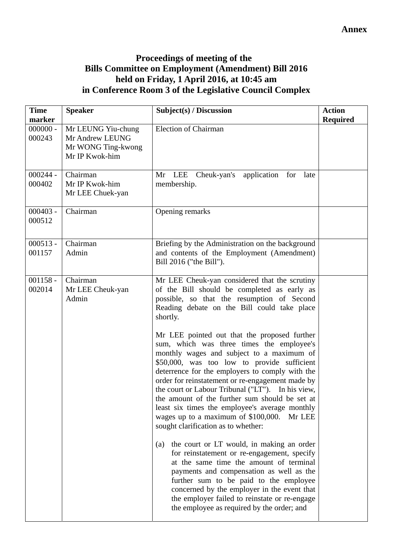### **Proceedings of meeting of the Bills Committee on Employment (Amendment) Bill 2016 held on Friday, 1 April 2016, at 10:45 am in Conference Room 3 of the Legislative Council Complex**

| <b>Time</b><br>marker | <b>Speaker</b>                                                                | Subject(s) / Discussion                                                                                                                                                                                                                                                                                                                                                                                                                                                                                                                    | <b>Action</b><br><b>Required</b> |
|-----------------------|-------------------------------------------------------------------------------|--------------------------------------------------------------------------------------------------------------------------------------------------------------------------------------------------------------------------------------------------------------------------------------------------------------------------------------------------------------------------------------------------------------------------------------------------------------------------------------------------------------------------------------------|----------------------------------|
| $000000 -$<br>000243  | Mr LEUNG Yiu-chung<br>Mr Andrew LEUNG<br>Mr WONG Ting-kwong<br>Mr IP Kwok-him | <b>Election of Chairman</b>                                                                                                                                                                                                                                                                                                                                                                                                                                                                                                                |                                  |
| $000244 -$<br>000402  | Chairman<br>Mr IP Kwok-him<br>Mr LEE Chuek-yan                                | Mr LEE<br>Cheuk-yan's<br>application for<br>late<br>membership.                                                                                                                                                                                                                                                                                                                                                                                                                                                                            |                                  |
| $000403 -$<br>000512  | Chairman                                                                      | Opening remarks                                                                                                                                                                                                                                                                                                                                                                                                                                                                                                                            |                                  |
| $000513 -$<br>001157  | Chairman<br>Admin                                                             | Briefing by the Administration on the background<br>and contents of the Employment (Amendment)<br>Bill 2016 ("the Bill").                                                                                                                                                                                                                                                                                                                                                                                                                  |                                  |
| $001158 -$<br>002014  | Chairman<br>Mr LEE Cheuk-yan<br>Admin                                         | Mr LEE Cheuk-yan considered that the scrutiny<br>of the Bill should be completed as early as<br>possible, so that the resumption of Second<br>Reading debate on the Bill could take place<br>shortly.                                                                                                                                                                                                                                                                                                                                      |                                  |
|                       |                                                                               | Mr LEE pointed out that the proposed further<br>sum, which was three times the employee's<br>monthly wages and subject to a maximum of<br>\$50,000, was too low to provide sufficient<br>deterrence for the employers to comply with the<br>order for reinstatement or re-engagement made by<br>the court or Labour Tribunal ("LT"). In his view,<br>the amount of the further sum should be set at<br>least six times the employee's average monthly<br>wages up to a maximum of \$100,000. Mr LEE<br>sought clarification as to whether: |                                  |
|                       |                                                                               | the court or LT would, in making an order<br>(a)<br>for reinstatement or re-engagement, specify<br>at the same time the amount of terminal<br>payments and compensation as well as the<br>further sum to be paid to the employee<br>concerned by the employer in the event that<br>the employer failed to reinstate or re-engage<br>the employee as required by the order; and                                                                                                                                                             |                                  |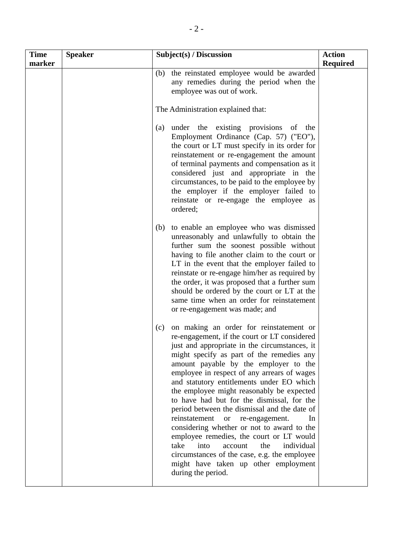| Time<br>marker | <b>Speaker</b> | Subject(s) / Discussion                                                                                                                                                                                                                                                                                                                                                                                                                                                                                                                                                                                                                                                                                                                                                                    | <b>Action</b><br><b>Required</b> |
|----------------|----------------|--------------------------------------------------------------------------------------------------------------------------------------------------------------------------------------------------------------------------------------------------------------------------------------------------------------------------------------------------------------------------------------------------------------------------------------------------------------------------------------------------------------------------------------------------------------------------------------------------------------------------------------------------------------------------------------------------------------------------------------------------------------------------------------------|----------------------------------|
|                |                | the reinstated employee would be awarded<br>(b)<br>any remedies during the period when the<br>employee was out of work.                                                                                                                                                                                                                                                                                                                                                                                                                                                                                                                                                                                                                                                                    |                                  |
|                |                | The Administration explained that:                                                                                                                                                                                                                                                                                                                                                                                                                                                                                                                                                                                                                                                                                                                                                         |                                  |
|                |                | under the existing provisions of the<br>(a)<br>Employment Ordinance (Cap. 57) ("EO"),<br>the court or LT must specify in its order for<br>reinstatement or re-engagement the amount<br>of terminal payments and compensation as it<br>considered just and appropriate in the<br>circumstances, to be paid to the employee by<br>the employer if the employer failed to<br>reinstate or re-engage the employee as<br>ordered;                                                                                                                                                                                                                                                                                                                                                               |                                  |
|                |                | to enable an employee who was dismissed<br>(b)<br>unreasonably and unlawfully to obtain the<br>further sum the soonest possible without<br>having to file another claim to the court or<br>LT in the event that the employer failed to<br>reinstate or re-engage him/her as required by<br>the order, it was proposed that a further sum<br>should be ordered by the court or LT at the<br>same time when an order for reinstatement<br>or re-engagement was made; and                                                                                                                                                                                                                                                                                                                     |                                  |
|                |                | on making an order for reinstatement or<br>(c)<br>re-engagement, if the court or LT considered<br>just and appropriate in the circumstances, it<br>might specify as part of the remedies any<br>amount payable by the employer to the<br>employee in respect of any arrears of wages<br>and statutory entitlements under EO which<br>the employee might reasonably be expected<br>to have had but for the dismissal, for the<br>period between the dismissal and the date of<br>reinstatement<br>re-engagement.<br>In<br><b>or</b><br>considering whether or not to award to the<br>employee remedies, the court or LT would<br>take<br>into<br>account<br>the<br>individual<br>circumstances of the case, e.g. the employee<br>might have taken up other employment<br>during the period. |                                  |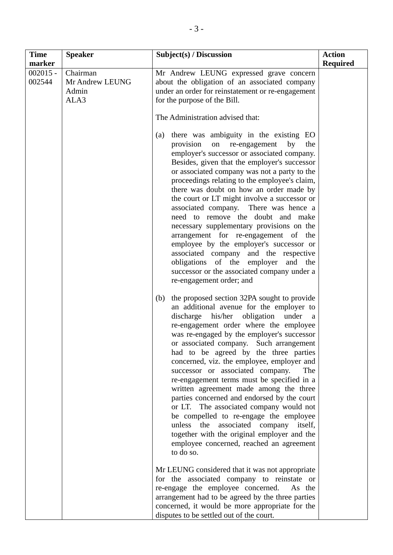| <b>Time</b><br>marker | <b>Speaker</b>                               | Subject(s) / Discussion                                                                                                                                                                                                                                                                                                                                                                                                                                                                                                                                                                                                                                                                                                                                                                              | <b>Action</b><br><b>Required</b> |
|-----------------------|----------------------------------------------|------------------------------------------------------------------------------------------------------------------------------------------------------------------------------------------------------------------------------------------------------------------------------------------------------------------------------------------------------------------------------------------------------------------------------------------------------------------------------------------------------------------------------------------------------------------------------------------------------------------------------------------------------------------------------------------------------------------------------------------------------------------------------------------------------|----------------------------------|
| $002015 -$<br>002544  | Chairman<br>Mr Andrew LEUNG<br>Admin<br>ALA3 | Mr Andrew LEUNG expressed grave concern<br>about the obligation of an associated company<br>under an order for reinstatement or re-engagement<br>for the purpose of the Bill.<br>The Administration advised that:                                                                                                                                                                                                                                                                                                                                                                                                                                                                                                                                                                                    |                                  |
|                       |                                              | there was ambiguity in the existing EO<br>(a)<br>provision on re-engagement<br>by<br>the<br>employer's successor or associated company.<br>Besides, given that the employer's successor<br>or associated company was not a party to the<br>proceedings relating to the employee's claim,<br>there was doubt on how an order made by<br>the court or LT might involve a successor or<br>associated company. There was hence a<br>need to remove the doubt and make<br>necessary supplementary provisions on the<br>arrangement for re-engagement of the<br>employee by the employer's successor or<br>associated company and the respective<br>obligations of the employer and the<br>successor or the associated company under a<br>re-engagement order; and                                         |                                  |
|                       |                                              | the proposed section 32PA sought to provide<br>(b)<br>an additional avenue for the employer to<br>his/her<br>obligation<br>discharge<br>under<br>a<br>re-engagement order where the employee<br>was re-engaged by the employer's successor<br>or associated company. Such arrangement<br>had to be agreed by the three parties<br>concerned, viz. the employee, employer and<br>successor or associated company.<br>The<br>re-engagement terms must be specified in a<br>written agreement made among the three<br>parties concerned and endorsed by the court<br>or LT. The associated company would not<br>be compelled to re-engage the employee<br>unless the associated company itself,<br>together with the original employer and the<br>employee concerned, reached an agreement<br>to do so. |                                  |
|                       |                                              | Mr LEUNG considered that it was not appropriate<br>for the associated company to reinstate or<br>re-engage the employee concerned.<br>As the<br>arrangement had to be agreed by the three parties<br>concerned, it would be more appropriate for the<br>disputes to be settled out of the court.                                                                                                                                                                                                                                                                                                                                                                                                                                                                                                     |                                  |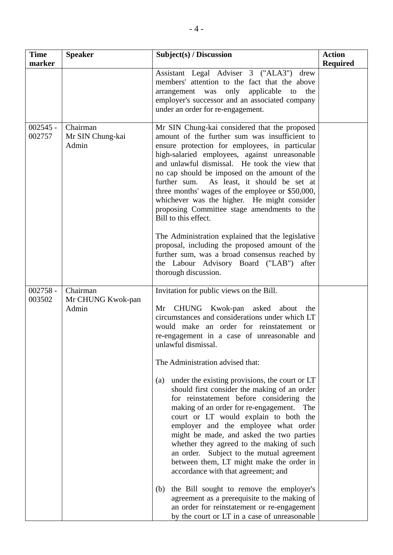| <b>Time</b><br>marker | <b>Speaker</b>                         | Subject(s) / Discussion                                                                                                                                                                                                                                                                                                                                                                                                                                                                                                                                                                                                                                                                                                                                                                               | <b>Action</b><br><b>Required</b> |
|-----------------------|----------------------------------------|-------------------------------------------------------------------------------------------------------------------------------------------------------------------------------------------------------------------------------------------------------------------------------------------------------------------------------------------------------------------------------------------------------------------------------------------------------------------------------------------------------------------------------------------------------------------------------------------------------------------------------------------------------------------------------------------------------------------------------------------------------------------------------------------------------|----------------------------------|
|                       |                                        | Assistant Legal Adviser 3 ("ALA3")<br>drew<br>members' attention to the fact that the above<br>arrangement was only<br>applicable to<br>the<br>employer's successor and an associated company<br>under an order for re-engagement.                                                                                                                                                                                                                                                                                                                                                                                                                                                                                                                                                                    |                                  |
| $002545 -$<br>002757  | Chairman<br>Mr SIN Chung-kai<br>Admin  | Mr SIN Chung-kai considered that the proposed<br>amount of the further sum was insufficient to<br>ensure protection for employees, in particular<br>high-salaried employees, against unreasonable<br>and unlawful dismissal. He took the view that<br>no cap should be imposed on the amount of the<br>further sum. As least, it should be set at<br>three months' wages of the employee or \$50,000,<br>whichever was the higher. He might consider<br>proposing Committee stage amendments to the<br>Bill to this effect.<br>The Administration explained that the legislative                                                                                                                                                                                                                      |                                  |
|                       |                                        | proposal, including the proposed amount of the<br>further sum, was a broad consensus reached by<br>the Labour Advisory Board ("LAB") after<br>thorough discussion.                                                                                                                                                                                                                                                                                                                                                                                                                                                                                                                                                                                                                                    |                                  |
| $002758 -$<br>003502  | Chairman<br>Mr CHUNG Kwok-pan<br>Admin | Invitation for public views on the Bill.<br>Mr CHUNG Kwok-pan asked about the<br>circumstances and considerations under which LT<br>would make an order for reinstatement or<br>re-engagement in a case of unreasonable and<br>unlawful dismissal.<br>The Administration advised that:<br>under the existing provisions, the court or LT<br>(a)<br>should first consider the making of an order<br>for reinstatement before considering the<br>making of an order for re-engagement.<br>The<br>court or LT would explain to both the<br>employer and the employee what order<br>might be made, and asked the two parties<br>whether they agreed to the making of such<br>an order. Subject to the mutual agreement<br>between them, LT might make the order in<br>accordance with that agreement; and |                                  |
|                       |                                        | the Bill sought to remove the employer's<br>(b)<br>agreement as a prerequisite to the making of<br>an order for reinstatement or re-engagement<br>by the court or LT in a case of unreasonable                                                                                                                                                                                                                                                                                                                                                                                                                                                                                                                                                                                                        |                                  |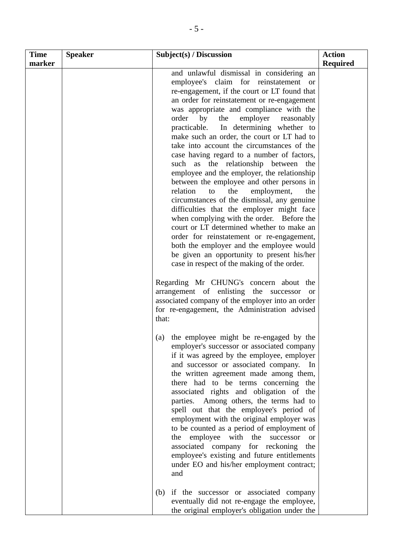| <b>Time</b> | <b>Speaker</b> | Subject(s) / Discussion                                                                                                                                                                                                                                                                                                                                                                                                                                                                                                                                                                                                                                                                                                                                                                                                                                                                                                                                                                                                                                                                                                                                                                                                                | <b>Action</b>   |
|-------------|----------------|----------------------------------------------------------------------------------------------------------------------------------------------------------------------------------------------------------------------------------------------------------------------------------------------------------------------------------------------------------------------------------------------------------------------------------------------------------------------------------------------------------------------------------------------------------------------------------------------------------------------------------------------------------------------------------------------------------------------------------------------------------------------------------------------------------------------------------------------------------------------------------------------------------------------------------------------------------------------------------------------------------------------------------------------------------------------------------------------------------------------------------------------------------------------------------------------------------------------------------------|-----------------|
| marker      |                | and unlawful dismissal in considering an<br>employee's claim for reinstatement or<br>re-engagement, if the court or LT found that<br>an order for reinstatement or re-engagement<br>was appropriate and compliance with the<br>order<br>by<br>the<br>employer<br>reasonably<br>practicable.<br>In determining whether to<br>make such an order, the court or LT had to<br>take into account the circumstances of the<br>case having regard to a number of factors,<br>such as the relationship between the<br>employee and the employer, the relationship<br>between the employee and other persons in<br>relation<br>employment,<br>the<br>the<br>to<br>circumstances of the dismissal, any genuine<br>difficulties that the employer might face<br>when complying with the order. Before the<br>court or LT determined whether to make an<br>order for reinstatement or re-engagement,<br>both the employer and the employee would<br>be given an opportunity to present his/her<br>case in respect of the making of the order.<br>Regarding Mr CHUNG's concern about the<br>arrangement of enlisting the successor or<br>associated company of the employer into an order<br>for re-engagement, the Administration advised<br>that: | <b>Required</b> |
|             |                | (a) the employee might be re-engaged by the<br>employer's successor or associated company<br>if it was agreed by the employee, employer<br>and successor or associated company. In<br>the written agreement made among them,<br>there had to be terms concerning the<br>associated rights and obligation of the<br>parties. Among others, the terms had to<br>spell out that the employee's period of<br>employment with the original employer was<br>to be counted as a period of employment of<br>employee with the<br>successor<br>the<br><b>or</b><br>associated company for reckoning<br>the<br>employee's existing and future entitlements<br>under EO and his/her employment contract;<br>and<br>if the successor or associated company<br>(b)                                                                                                                                                                                                                                                                                                                                                                                                                                                                                  |                 |
|             |                | eventually did not re-engage the employee,<br>the original employer's obligation under the                                                                                                                                                                                                                                                                                                                                                                                                                                                                                                                                                                                                                                                                                                                                                                                                                                                                                                                                                                                                                                                                                                                                             |                 |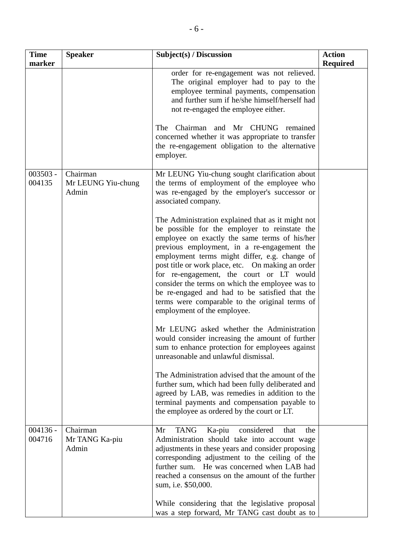| <b>Time</b><br>marker | <b>Speaker</b>                          | Subject(s) / Discussion                                                                                                                                                                                                                                                                                                                                                                                                                                                                                                                    | <b>Action</b><br><b>Required</b> |
|-----------------------|-----------------------------------------|--------------------------------------------------------------------------------------------------------------------------------------------------------------------------------------------------------------------------------------------------------------------------------------------------------------------------------------------------------------------------------------------------------------------------------------------------------------------------------------------------------------------------------------------|----------------------------------|
|                       |                                         | order for re-engagement was not relieved.<br>The original employer had to pay to the<br>employee terminal payments, compensation<br>and further sum if he/she himself/herself had<br>not re-engaged the employee either.                                                                                                                                                                                                                                                                                                                   |                                  |
|                       |                                         | Chairman and Mr CHUNG<br>The<br>remained<br>concerned whether it was appropriate to transfer<br>the re-engagement obligation to the alternative<br>employer.                                                                                                                                                                                                                                                                                                                                                                               |                                  |
| $003503 -$<br>004135  | Chairman<br>Mr LEUNG Yiu-chung<br>Admin | Mr LEUNG Yiu-chung sought clarification about<br>the terms of employment of the employee who<br>was re-engaged by the employer's successor or<br>associated company.                                                                                                                                                                                                                                                                                                                                                                       |                                  |
|                       |                                         | The Administration explained that as it might not<br>be possible for the employer to reinstate the<br>employee on exactly the same terms of his/her<br>previous employment, in a re-engagement the<br>employment terms might differ, e.g. change of<br>post title or work place, etc. On making an order<br>for re-engagement, the court or LT would<br>consider the terms on which the employee was to<br>be re-engaged and had to be satisfied that the<br>terms were comparable to the original terms of<br>employment of the employee. |                                  |
|                       |                                         | Mr LEUNG asked whether the Administration<br>would consider increasing the amount of further<br>sum to enhance protection for employees against<br>unreasonable and unlawful dismissal.                                                                                                                                                                                                                                                                                                                                                    |                                  |
|                       |                                         | The Administration advised that the amount of the<br>further sum, which had been fully deliberated and<br>agreed by LAB, was remedies in addition to the<br>terminal payments and compensation payable to<br>the employee as ordered by the court or LT.                                                                                                                                                                                                                                                                                   |                                  |
| $004136 -$<br>004716  | Chairman<br>Mr TANG Ka-piu<br>Admin     | <b>TANG</b><br>Ka-piu<br>considered<br>Mr<br>that<br>the<br>Administration should take into account wage<br>adjustments in these years and consider proposing<br>corresponding adjustment to the ceiling of the<br>further sum. He was concerned when LAB had<br>reached a consensus on the amount of the further<br>sum, i.e. \$50,000.                                                                                                                                                                                                   |                                  |
|                       |                                         | While considering that the legislative proposal<br>was a step forward, Mr TANG cast doubt as to                                                                                                                                                                                                                                                                                                                                                                                                                                            |                                  |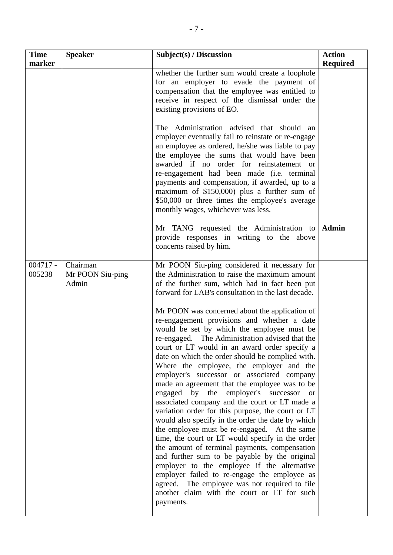| <b>Time</b><br>marker | <b>Speaker</b>                        | Subject(s) / Discussion                                                                                                                                                                                                                                                                                                                                                                                                                                                                                                                                                                                                                                                                                                                                                                                                                                                                                                                                                                                                                                                                         | <b>Action</b><br><b>Required</b> |
|-----------------------|---------------------------------------|-------------------------------------------------------------------------------------------------------------------------------------------------------------------------------------------------------------------------------------------------------------------------------------------------------------------------------------------------------------------------------------------------------------------------------------------------------------------------------------------------------------------------------------------------------------------------------------------------------------------------------------------------------------------------------------------------------------------------------------------------------------------------------------------------------------------------------------------------------------------------------------------------------------------------------------------------------------------------------------------------------------------------------------------------------------------------------------------------|----------------------------------|
|                       |                                       | whether the further sum would create a loophole<br>for an employer to evade the payment of<br>compensation that the employee was entitled to<br>receive in respect of the dismissal under the<br>existing provisions of EO.                                                                                                                                                                                                                                                                                                                                                                                                                                                                                                                                                                                                                                                                                                                                                                                                                                                                     |                                  |
|                       |                                       | The Administration advised that should an<br>employer eventually fail to reinstate or re-engage<br>an employee as ordered, he/she was liable to pay<br>the employee the sums that would have been<br>awarded if no order for reinstatement or<br>re-engagement had been made (i.e. terminal<br>payments and compensation, if awarded, up to a<br>maximum of \$150,000) plus a further sum of<br>\$50,000 or three times the employee's average<br>monthly wages, whichever was less.                                                                                                                                                                                                                                                                                                                                                                                                                                                                                                                                                                                                            |                                  |
|                       |                                       | Mr TANG requested the Administration to Admin<br>provide responses in writing to the above<br>concerns raised by him.                                                                                                                                                                                                                                                                                                                                                                                                                                                                                                                                                                                                                                                                                                                                                                                                                                                                                                                                                                           |                                  |
| $004717 -$<br>005238  | Chairman<br>Mr POON Siu-ping<br>Admin | Mr POON Siu-ping considered it necessary for<br>the Administration to raise the maximum amount<br>of the further sum, which had in fact been put<br>forward for LAB's consultation in the last decade.                                                                                                                                                                                                                                                                                                                                                                                                                                                                                                                                                                                                                                                                                                                                                                                                                                                                                          |                                  |
|                       |                                       | Mr POON was concerned about the application of<br>re-engagement provisions and whether a date<br>would be set by which the employee must be<br>re-engaged. The Administration advised that the<br>court or LT would in an award order specify a<br>date on which the order should be complied with.<br>Where the employee, the employer and the<br>employer's successor or associated company<br>made an agreement that the employee was to be<br>by<br>engaged<br>the<br>employer's<br>successor<br><sub>or</sub><br>associated company and the court or LT made a<br>variation order for this purpose, the court or LT<br>would also specify in the order the date by which<br>the employee must be re-engaged. At the same<br>time, the court or LT would specify in the order<br>the amount of terminal payments, compensation<br>and further sum to be payable by the original<br>employer to the employee if the alternative<br>employer failed to re-engage the employee as<br>agreed. The employee was not required to file<br>another claim with the court or LT for such<br>payments. |                                  |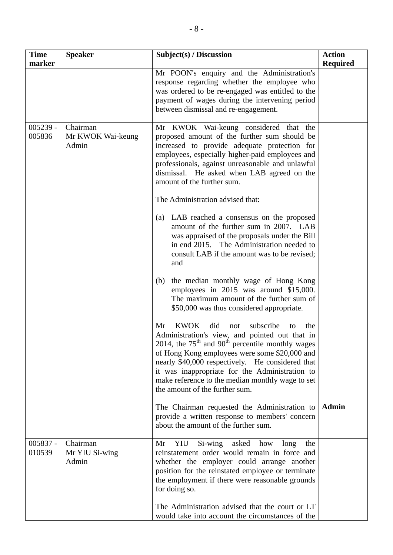| <b>Time</b><br>marker | <b>Speaker</b>                         | Subject(s) / Discussion                                                                                                                                                                                                                                                                                                                                                                                                                                                                                                                                                                                                                                                                                                                                                                                                                                                                                                                                                                                                                                                                                                                                                                                                    | <b>Action</b><br><b>Required</b> |
|-----------------------|----------------------------------------|----------------------------------------------------------------------------------------------------------------------------------------------------------------------------------------------------------------------------------------------------------------------------------------------------------------------------------------------------------------------------------------------------------------------------------------------------------------------------------------------------------------------------------------------------------------------------------------------------------------------------------------------------------------------------------------------------------------------------------------------------------------------------------------------------------------------------------------------------------------------------------------------------------------------------------------------------------------------------------------------------------------------------------------------------------------------------------------------------------------------------------------------------------------------------------------------------------------------------|----------------------------------|
|                       |                                        | Mr POON's enquiry and the Administration's<br>response regarding whether the employee who<br>was ordered to be re-engaged was entitled to the<br>payment of wages during the intervening period<br>between dismissal and re-engagement.                                                                                                                                                                                                                                                                                                                                                                                                                                                                                                                                                                                                                                                                                                                                                                                                                                                                                                                                                                                    |                                  |
| $005239 -$<br>005836  | Chairman<br>Mr KWOK Wai-keung<br>Admin | Mr KWOK Wai-keung considered that the<br>proposed amount of the further sum should be<br>increased to provide adequate protection for<br>employees, especially higher-paid employees and<br>professionals, against unreasonable and unlawful<br>dismissal. He asked when LAB agreed on the<br>amount of the further sum.<br>The Administration advised that:<br>(a) LAB reached a consensus on the proposed<br>amount of the further sum in 2007. LAB<br>was appraised of the proposals under the Bill<br>in end 2015. The Administration needed to<br>consult LAB if the amount was to be revised;<br>and<br>the median monthly wage of Hong Kong<br>(b)<br>employees in 2015 was around \$15,000.<br>The maximum amount of the further sum of<br>\$50,000 was thus considered appropriate.<br><b>KWOK</b><br>did<br>subscribe<br>Mr<br>the<br>not<br>to<br>Administration's view, and pointed out that in<br>2014, the $75th$ and 90 <sup>th</sup> percentile monthly wages<br>of Hong Kong employees were some \$20,000 and<br>nearly \$40,000 respectively. He considered that<br>it was inappropriate for the Administration to<br>make reference to the median monthly wage to set<br>the amount of the further sum. |                                  |
|                       |                                        | The Chairman requested the Administration to<br>provide a written response to members' concern<br>about the amount of the further sum.                                                                                                                                                                                                                                                                                                                                                                                                                                                                                                                                                                                                                                                                                                                                                                                                                                                                                                                                                                                                                                                                                     | <b>Admin</b>                     |
| 005837 -<br>010539    | Chairman<br>Mr YIU Si-wing<br>Admin    | YIU<br>Si-wing asked how<br>Mr<br>long<br>the<br>reinstatement order would remain in force and<br>whether the employer could arrange another<br>position for the reinstated employee or terminate<br>the employment if there were reasonable grounds<br>for doing so.<br>The Administration advised that the court or LT                                                                                                                                                                                                                                                                                                                                                                                                                                                                                                                                                                                                                                                                                                                                                                                                                                                                                                   |                                  |
|                       |                                        | would take into account the circumstances of the                                                                                                                                                                                                                                                                                                                                                                                                                                                                                                                                                                                                                                                                                                                                                                                                                                                                                                                                                                                                                                                                                                                                                                           |                                  |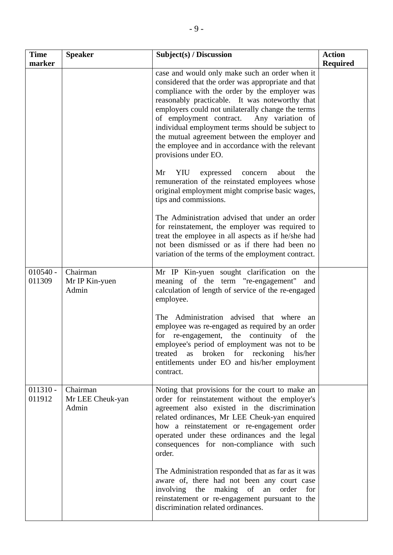| <b>Time</b><br>marker | <b>Speaker</b>                        | Subject(s) / Discussion                                                                                                                                                                                                                                                                                                                                                                                                                                                                      | <b>Action</b><br><b>Required</b> |
|-----------------------|---------------------------------------|----------------------------------------------------------------------------------------------------------------------------------------------------------------------------------------------------------------------------------------------------------------------------------------------------------------------------------------------------------------------------------------------------------------------------------------------------------------------------------------------|----------------------------------|
|                       |                                       | case and would only make such an order when it<br>considered that the order was appropriate and that<br>compliance with the order by the employer was<br>reasonably practicable. It was noteworthy that<br>employers could not unilaterally change the terms<br>of employment contract.<br>Any variation of<br>individual employment terms should be subject to<br>the mutual agreement between the employer and<br>the employee and in accordance with the relevant<br>provisions under EO. |                                  |
|                       |                                       | expressed<br>Mr<br>YIU<br>concern<br>about<br>the<br>remuneration of the reinstated employees whose<br>original employment might comprise basic wages,<br>tips and commissions.                                                                                                                                                                                                                                                                                                              |                                  |
|                       |                                       | The Administration advised that under an order<br>for reinstatement, the employer was required to<br>treat the employee in all aspects as if he/she had<br>not been dismissed or as if there had been no<br>variation of the terms of the employment contract.                                                                                                                                                                                                                               |                                  |
| $010540 -$<br>011309  | Chairman<br>Mr IP Kin-yuen<br>Admin   | Mr IP Kin-yuen sought clarification on the<br>meaning of the term "re-engagement"<br>and<br>calculation of length of service of the re-engaged<br>employee.                                                                                                                                                                                                                                                                                                                                  |                                  |
|                       |                                       | Administration advised that where<br>The<br>an<br>employee was re-engaged as required by an order<br>for re-engagement, the continuity of the<br>employee's period of employment was not to be<br>broken for reckoning<br>treated<br>his/her<br>as<br>entitlements under EO and his/her employment<br>contract.                                                                                                                                                                              |                                  |
| $011310 -$<br>011912  | Chairman<br>Mr LEE Cheuk-yan<br>Admin | Noting that provisions for the court to make an<br>order for reinstatement without the employer's<br>agreement also existed in the discrimination<br>related ordinances, Mr LEE Cheuk-yan enquired<br>how a reinstatement or re-engagement order<br>operated under these ordinances and the legal<br>consequences for non-compliance with such<br>order.                                                                                                                                     |                                  |
|                       |                                       | The Administration responded that as far as it was<br>aware of, there had not been any court case<br>involving the making of an<br>order for<br>reinstatement or re-engagement pursuant to the<br>discrimination related ordinances.                                                                                                                                                                                                                                                         |                                  |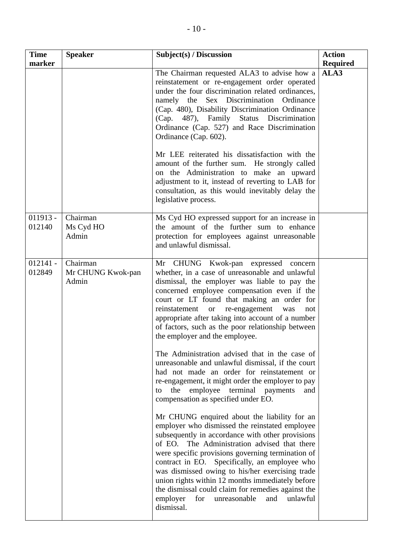| <b>Time</b><br>marker | <b>Speaker</b>                         | Subject(s) / Discussion                                                                                                                                                                                                                                                                                                                                                                                                                                                                                                                   | <b>Action</b><br><b>Required</b> |
|-----------------------|----------------------------------------|-------------------------------------------------------------------------------------------------------------------------------------------------------------------------------------------------------------------------------------------------------------------------------------------------------------------------------------------------------------------------------------------------------------------------------------------------------------------------------------------------------------------------------------------|----------------------------------|
|                       |                                        | The Chairman requested ALA3 to advise how a<br>reinstatement or re-engagement order operated<br>under the four discrimination related ordinances,<br>namely the Sex Discrimination Ordinance<br>(Cap. 480), Disability Discrimination Ordinance<br>(Cap. 487), Family Status Discrimination<br>Ordinance (Cap. 527) and Race Discrimination<br>Ordinance (Cap. 602).<br>Mr LEE reiterated his dissatisfaction with the                                                                                                                    | ALA3                             |
|                       |                                        | amount of the further sum. He strongly called<br>on the Administration to make an upward<br>adjustment to it, instead of reverting to LAB for<br>consultation, as this would inevitably delay the<br>legislative process.                                                                                                                                                                                                                                                                                                                 |                                  |
| $011913 -$<br>012140  | Chairman<br>Ms Cyd HO<br>Admin         | Ms Cyd HO expressed support for an increase in<br>the amount of the further sum to enhance<br>protection for employees against unreasonable<br>and unlawful dismissal.                                                                                                                                                                                                                                                                                                                                                                    |                                  |
| $012141 -$<br>012849  | Chairman<br>Mr CHUNG Kwok-pan<br>Admin | Mr CHUNG Kwok-pan expressed concern<br>whether, in a case of unreasonable and unlawful<br>dismissal, the employer was liable to pay the<br>concerned employee compensation even if the<br>court or LT found that making an order for<br>re-engagement<br>reinstatement or<br>was<br>not<br>appropriate after taking into account of a number<br>of factors, such as the poor relationship between<br>the employer and the employee.                                                                                                       |                                  |
|                       |                                        | The Administration advised that in the case of<br>unreasonable and unlawful dismissal, if the court<br>had not made an order for reinstatement or<br>re-engagement, it might order the employer to pay<br>employee<br>terminal<br>the<br>payments<br>and<br>to<br>compensation as specified under EO.                                                                                                                                                                                                                                     |                                  |
|                       |                                        | Mr CHUNG enquired about the liability for an<br>employer who dismissed the reinstated employee<br>subsequently in accordance with other provisions<br>of EO. The Administration advised that there<br>were specific provisions governing termination of<br>contract in EO. Specifically, an employee who<br>was dismissed owing to his/her exercising trade<br>union rights within 12 months immediately before<br>the dismissal could claim for remedies against the<br>unlawful<br>employer<br>for<br>unreasonable<br>and<br>dismissal. |                                  |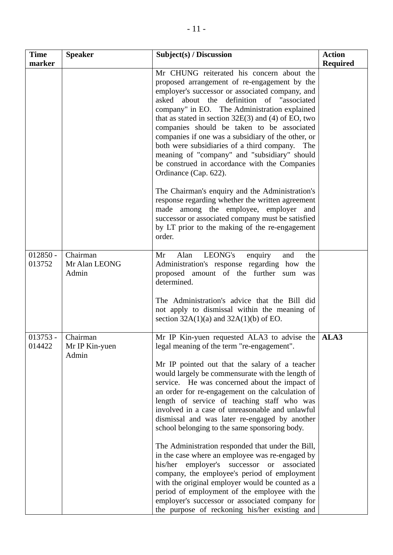| <b>Time</b>          | <b>Speaker</b>                      | Subject(s) / Discussion                                                                                                                                                                                                                                                                                                                                                                                                                                                                                                                                                                                                                                                                                                                                                                                                                                                                                                         | <b>Action</b>   |
|----------------------|-------------------------------------|---------------------------------------------------------------------------------------------------------------------------------------------------------------------------------------------------------------------------------------------------------------------------------------------------------------------------------------------------------------------------------------------------------------------------------------------------------------------------------------------------------------------------------------------------------------------------------------------------------------------------------------------------------------------------------------------------------------------------------------------------------------------------------------------------------------------------------------------------------------------------------------------------------------------------------|-----------------|
| marker               |                                     | Mr CHUNG reiterated his concern about the<br>proposed arrangement of re-engagement by the<br>employer's successor or associated company, and<br>asked about the definition of "associated<br>company" in EO. The Administration explained<br>that as stated in section $32E(3)$ and (4) of EO, two<br>companies should be taken to be associated<br>companies if one was a subsidiary of the other, or<br>both were subsidiaries of a third company.<br>The<br>meaning of "company" and "subsidiary" should<br>be construed in accordance with the Companies<br>Ordinance (Cap. 622).<br>The Chairman's enquiry and the Administration's                                                                                                                                                                                                                                                                                        | <b>Required</b> |
|                      |                                     | response regarding whether the written agreement<br>made among the employee, employer and<br>successor or associated company must be satisfied<br>by LT prior to the making of the re-engagement<br>order.                                                                                                                                                                                                                                                                                                                                                                                                                                                                                                                                                                                                                                                                                                                      |                 |
| $012850 -$<br>013752 | Chairman<br>Mr Alan LEONG<br>Admin  | LEONG's<br>Alan<br>Mr<br>enquiry<br>and<br>the<br>Administration's response regarding how<br>the<br>proposed amount of the further sum<br>was<br>determined.<br>The Administration's advice that the Bill did<br>not apply to dismissal within the meaning of<br>section $32A(1)(a)$ and $32A(1)(b)$ of EO.                                                                                                                                                                                                                                                                                                                                                                                                                                                                                                                                                                                                                     |                 |
| $013753 -$<br>014422 | Chairman<br>Mr IP Kin-yuen<br>Admin | Mr IP Kin-yuen requested ALA3 to advise the<br>legal meaning of the term "re-engagement".<br>Mr IP pointed out that the salary of a teacher<br>would largely be commensurate with the length of<br>service. He was concerned about the impact of<br>an order for re-engagement on the calculation of<br>length of service of teaching staff who was<br>involved in a case of unreasonable and unlawful<br>dismissal and was later re-engaged by another<br>school belonging to the same sponsoring body.<br>The Administration responded that under the Bill,<br>in the case where an employee was re-engaged by<br>employer's<br>his/her<br>successor or<br>associated<br>company, the employee's period of employment<br>with the original employer would be counted as a<br>period of employment of the employee with the<br>employer's successor or associated company for<br>the purpose of reckoning his/her existing and | ALA3            |